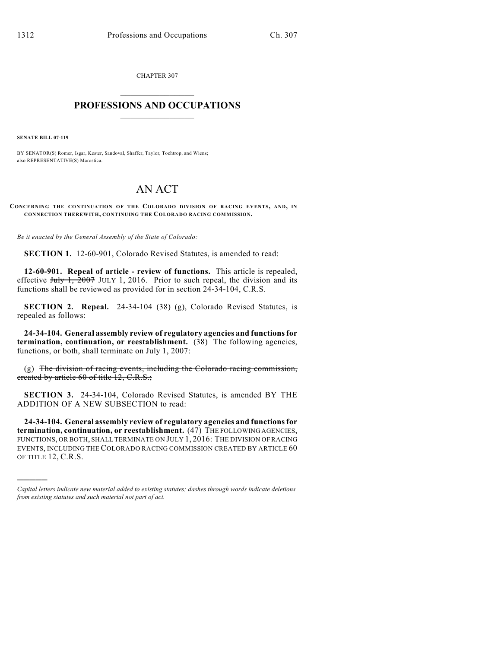CHAPTER 307  $\mathcal{L}_\text{max}$  . The set of the set of the set of the set of the set of the set of the set of the set of the set of the set of the set of the set of the set of the set of the set of the set of the set of the set of the set

## **PROFESSIONS AND OCCUPATIONS**  $\frac{1}{2}$  ,  $\frac{1}{2}$  ,  $\frac{1}{2}$  ,  $\frac{1}{2}$  ,  $\frac{1}{2}$  ,  $\frac{1}{2}$

**SENATE BILL 07-119**

)))))

BY SENATOR(S) Romer, Isgar, Kester, Sandoval, Shaffer, Taylor, Tochtrop, and Wiens; also REPRESENTATIVE(S) Marostica.

## AN ACT

**CONCERNING THE CONTINUATION OF THE COLORADO DIVISION OF RACING EVENTS, AND, IN CONNECTION THEREWITH, CONTINUING THE COLORADO RACING COMMISSION.**

*Be it enacted by the General Assembly of the State of Colorado:*

**SECTION 1.** 12-60-901, Colorado Revised Statutes, is amended to read:

**12-60-901. Repeal of article - review of functions.** This article is repealed, effective  $J_{\text{uly}}$  1,  $\overline{2007}$  JULY 1, 2016. Prior to such repeal, the division and its functions shall be reviewed as provided for in section 24-34-104, C.R.S.

**SECTION 2. Repeal.** 24-34-104 (38) (g), Colorado Revised Statutes, is repealed as follows:

**24-34-104. General assembly review of regulatory agencies and functions for termination, continuation, or reestablishment.** (38) The following agencies, functions, or both, shall terminate on July 1, 2007:

(g) The division of racing events, including the Colorado racing commission, created by article 60 of title 12, C.R.S.;

**SECTION 3.** 24-34-104, Colorado Revised Statutes, is amended BY THE ADDITION OF A NEW SUBSECTION to read:

**24-34-104. General assembly review of regulatory agencies and functions for termination, continuation, or reestablishment.** (47) THE FOLLOWING AGENCIES, FUNCTIONS, OR BOTH, SHALL TERMINATE ON JULY 1, 2016: THE DIVISION OF RACING EVENTS, INCLUDING THE COLORADO RACING COMMISSION CREATED BY ARTICLE 60 OF TITLE 12, C.R.S.

*Capital letters indicate new material added to existing statutes; dashes through words indicate deletions from existing statutes and such material not part of act.*